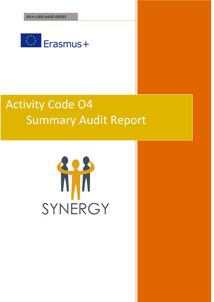2014-1-IE01-KA202-000355 **Summary Audit Report**



# Activity Code O4 Summary Audit Report

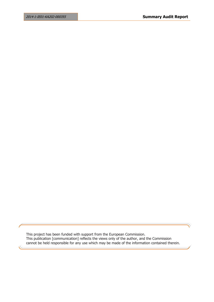This project has been funded with support from the European Commission. This publication [communication] reflects the views only of the author, and the Commission cannot be held responsible for any use which may be made of the information contained therein.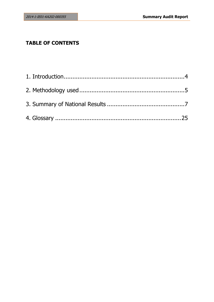## **TABLE OF CONTENTS**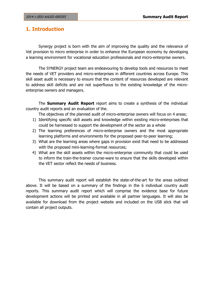## <span id="page-3-0"></span>**1. Introduction**

Synergy project is born with the aim of improving the quality and the relevance of Vet provision to micro enterprise in order to enhance the European economy by developing a learning environment for vocational education professionals and micro-enterprise owners.

The SYNERGY project team are endeavouring to develop tools and resources to meet the needs of VET providers and micro-enterprises in different countries across Europe. This skill asset audit is necessary to ensure that the content of resources developed are relevant to address skill deficits and are not superfluous to the existing knowledge of the microenterprise owners and managers.

The **Summary Audit Report** report aims to create a synthesis of the individual country audit reports and an evaluation of the.

The objectives of the planned audit of micro-enterprise owners will focus on 4 areas;

- 1) Identifying specific skill assets and knowledge within existing micro-enterprises that could be harnessed to support the development of the sector as a whole
- 2) The learning preferences of micro-enterprise owners and the most appropriate learning platforms and environments for the proposed peer-to-peer learning;
- 3) What are the learning areas where gaps in provision exist that need to be addressed with the proposed mini-learning-format resources;
- 4) What are the skill assets within the micro-enterprise community that could be used to inform the train-the-trainer course-ware to ensure that the skills developed within the VET sector reflect the needs of business.

This summary audit report will establish the state-of-the-art for the areas outlined above. It will be based on a summary of the findings in the 6 individual country audit reports. This summary audit report which will comprise the evidence base for future development actions will be printed and available in all partner languages. It will also be available for download from the project website and included on the USB stick that will contain all project outputs.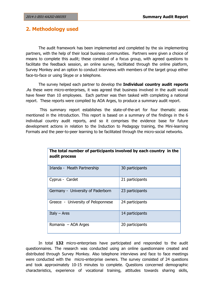## <span id="page-4-0"></span>**2. Methodology used**

**audit process**

The audit framework has been implemented and completed by the six implementing partners, with the help of their local business communities. Partners were given a choice of means to complete this audit; these consisted of a focus group, with agreed questions to facilitate the feedback session, an online survey, facilitated through the online platform, Survey Monkey and an option to conduct interviews with members of the target group either face-to-face or using Skype or a telephone.

The survey helped each partner to develop the **Individual country audit reports** .As these were micro-enterprises, it was agreed that business involved in the audit would have fewer than 10 employees. Each partner was then tasked with completing a national report. These reports were compiled by AOA Arges, to produce a summary audit report.

This summary report establishes the state-of-the-art for four thematic areas mentioned in the introduction. This report is based on a summary of the findings in the 6 individual country audit reports, and so it comprises the evidence base for future development actions in relation to the Induction to Pedagogy training, the Mini-learning Formats and the peer-to-peer learning to be facilitated through the micro-social networks.

| MMMIL MI ACCAN                     |                 |
|------------------------------------|-----------------|
| Irlanda - Meath Partnership        | 30 participants |
| Cyprus - Cardet                    | 21 participants |
| Germany - University of Paderborn  | 23 participants |
| Greece - University of Peloponnese | 24 participants |
| Italy $-$ Ares                     | 14 participants |
| Romania - AOA Arges                | 20 participants |

**The total number of participants involved by each country in the** 

In total **132** micro-enterprises have participated and responded to the audit questionnaires. The research was conducted using an online questionnaire created and distributed through Survey Monkey. Also telephone interviews and face to face meetings were conducted with the micro-enterprise owners. The survey consisted of 24 questions and took approximately 10-15 minutes to complete. Questions concerned demographic characteristics, experience of vocational training, attitudes towards sharing skills,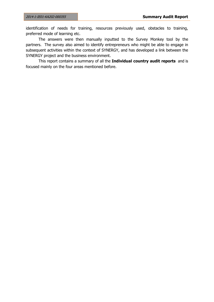identification of needs for training, resources previously used, obstacles to training, preferred mode of learning etc.

The answers were then manually inputted to the Survey Monkey tool by the partners. The survey also aimed to identify entrepreneurs who might be able to engage in subsequent activities within the context of SYNERGY, and has developed a link between the SYNERGY project and the business environment.

This report contains a summary of all the **Individual country audit reports** and is focused mainly on the four areas mentioned before.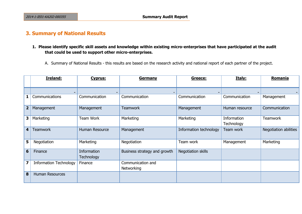## **3. Summary of National Results**

**1. Please identify specific skill assets and knowledge within existing micro-enterprises that have participated at the audit that could be used to support other micro-enterprises.** 

A. Summary of National Results - this results are based on the research activity and national report of each partner of the project.

<span id="page-6-0"></span>

|                         | Ireland:                       | Cyprus:                   | <b>Germany</b>                  | Greece:                | Italy:                    | Romania               |
|-------------------------|--------------------------------|---------------------------|---------------------------------|------------------------|---------------------------|-----------------------|
|                         |                                |                           |                                 |                        |                           |                       |
|                         | Communications<br>$\mathbf{1}$ | Communication             | Communication                   | Communication          | Communication             | Management            |
|                         | $\overline{2}$<br>Management   | Management                | <b>Teamwork</b>                 | Management             | Human resource            | Communication         |
|                         | 3<br>Marketing                 | Team Work                 | Marketing                       | Marketing              | Information<br>Technology | <b>Teamwork</b>       |
|                         | <b>Teamwork</b><br>4           | Human Resource            | Management                      | Information technology | Team work                 | Negotiation abilities |
|                         | 5<br>Negotiation               | Marketing                 | Negotiation                     | Team work              | Management                | Marketing             |
|                         | 6<br>Finance                   | Information<br>Technology | Business strategy and growth    | Negotiation skills     |                           |                       |
| $\overline{\mathbf{z}}$ | <b>Information Technology</b>  | Finance                   | Communication and<br>Networking |                        |                           |                       |
|                         | 8<br>Human Resources           |                           |                                 |                        |                           |                       |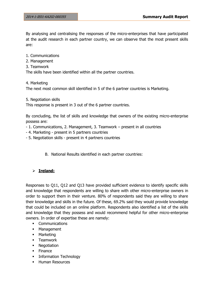By analysing and centralising the responses of the micro-enterprises that have participated at the audit research in each partner country, we can observe that the most present skills are:

- 1. Communications
- 2. Management
- 3. Teamwork

The skills have been identified within all the partner countries.

4. Marketing

The next most common skill identified in 5 of the 6 partner countries is Marketing.

5. Negotiation skills

This response is present in 3 out of the 6 partner countries.

By concluding, the list of skills and knowledge that owners of the existing micro-enterprise possess are:

- 1. Communications, 2. Management, 3. Teamwork present in all countries
- 4. Marketing present in 5 partners countries
- 5. Negotiation skills present in 4 partners countries
	- B. National Results identified in each partner countries:

## **Ireland:**

Responses to Q11, Q12 and Q13 have provided sufficient evidence to identify specific skills and knowledge that respondents are willing to share with other micro-enterprise owners in order to support them in their venture. 80% of respondents said they are willing to share their knowledge and skills in the future. Of these, 69.2% said they would provide knowledge that could be included on an online platform. Respondents also identified a list of the skills and knowledge that they possess and would recommend helpful for other micro-enterprise owners. In order of expertise these are namely:

- **•** Communications
- **Management**
- **-** Marketing
- **-** Teamwork
- Negotiation
- **Finance**
- **Information Technology**
- **Human Resources**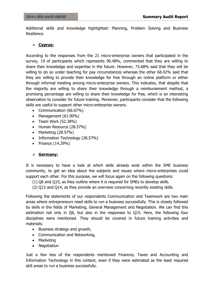Additional skills and knowledge highlighted: Planning, Problem Solving and Business Resilience.

## **Cyprus:**

According to the responses from the 21 micro-enterprise owners that participated in the survey, 19 of participants which represents 90.48%, commented that they are willing to share their knowledge and expertise in the future. However, 73.68% said that they will be willing to do so under teaching for pay circumstances whereas the other 68.42% said that they are willing to provide their knowledge for free through an online platform or either through informal meeting among micro-enterprise owners. This indicates, that despite that the majority are willing to share their knowledge through a reimbursement method, a promising percentage are willing to share their knowledge for free, which is an interesting observation to consider for future training. Moreover, participants consider that the following skills are useful to support other micro-enterprise owners.

- Communication (66.67%)
- Management (61.90%)
- $\bullet$  Team Work (52.38%)
- Human Resource (28.57%)
- $\bullet$  Marketing (28.57%)
- Information Technology (28.57%)
- $\bullet$  Finance (14.29%)

## **Germany:**

It is necessary to have a look at which skills already exist within the SME business community, to get an idea about the subjects and issues where micro-enterprises could support each other. For this purpose, we will focus again on the following questions:

(1) Q6 and Q15, as they outline where it is required for SMEs to develop skills.

(2) Q13 and Q14, as they provide an overview concerning recently existing skills.

Following the statements of our respondents Communication and Teamwork are two main areas where entrepreneurs need skills to run a business successfully. This is closely followed by skills in the fields of Marketing, General Management and Negotiation. We can find this estimation not only in Q6, but also in the responses to Q15. Here, the following four disciplines were mentioned. They should be covered in future training activities and materials:

- Business strategy and growth,
- Communication and Networking,
- Marketing
- Negotiation

Just a few less of the respondents mentioned Finances, Taxes and Accounting and Information Technology in this context, even if they were estimated as the least required skill areas to run a business successfully.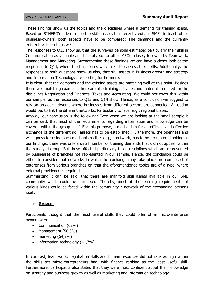These findings show us the topics and the disciplines where a demand for training exists. Based on SYNERGYs idea to use the skills assets that recently exist in SMEs to teach other business-owners, both aspects have to be compared: The demands and the currently existent skill-assets as well.

The responses to Q13 show us, that the surveyed persons estimated particularly their skill in Communication as valuable and helpful also for other MEOs; closely followed by Teamwork, Management and Marketing. Strengthening these findings we can have a closer look at the responses to Q14, where the businesses were asked to assess their skills. Additionally, the responses to both questions show us also, that skill assets in Business growth and strategy and Information Technology are existing furthermore.

It is clear, that the demands and the existing assets are matching well at this point. Besides these well matching examples there are also training activities and materials required for the disciplines Negotiation and Finances, Taxes and Accounting. We could not cover this within our sample, as the responses to Q13 and Q14 show. Hence, as a conclusion we suggest to rely on broader networks where businesses from different sectors are connected. An option would be, to link the different networks. Particularly to face, e.g., regional biases.

Anyway, our conclusion is the following: Even when we are looking at the small sample it can be said, that most of the requirements regarding information and knowledge can be covered within the group itself. For this purpose, a mechanism for an efficient and effective exchange of the different skill assets has to be established. Furthermore, the openness and willingness for using such mechanisms like, e.g., a network, has to be promoted. Looking at our findings, there was only a small number of training demands that did not appear within the surveyed group. But these affected particularly those disciplines which are represented by businesses of branches not represented in our sample. Hence, the conclusion could be either to consider that networks in which the exchange may take place are composed of enterprises from various branches or, that the aforementioned topics are of a type, where external providence is required.

Summarizing it can be said, that there are manifold skill assets available in our SME community which could be harnessed. Thereby, most of the learning requirements of various kinds could be faced within the community / network of the exchanging persons itself.

#### **Greece:**

Participants thought that the most useful skills they could offer other micro-enterprise owners were:

- Communication (62%)
- Management (58,3%)
- $\bullet$  marketing (54,2%)
- $\bullet$  information technology (41,7%)

In contrast, team work, negotiation skills and human resources did not rank as high within the skills set micro-entrepreneurs had, with finance ranking as the least useful skill. Furthermore, participants also stated that they were most confident about their knowledge on strategy and business growth as well as marketing and information technology.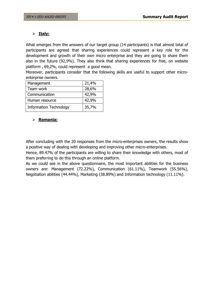## **Italy:**

What emerges from the answers of our target group (14 participants) is that almost total of participants are agreed that sharing experiences could represent a key role for the development and growth of their own micro enterprise and they are going to share them also in the future (92,9%). They also think that sharing experiences for free, on website platform , 69,2%, could represent a good mean.

Moreover, participants consider that the following skills are useful to support other microenterprise owners.

| Management                    | 21,4% |
|-------------------------------|-------|
| Team work                     | 28,6% |
| Communication                 | 42,9% |
| Human resource                | 42,9% |
| <b>Information Technology</b> | 35,7% |

## **Romania:**

After concluding with the 20 responses from the micro-enterprises owners, the results show a positive way of dealing with developing and improving other micro-enterprises.

Hence, 89.47% of the participants are willing to share their knowledge with others, most of them preferring to do this through an online platform.

As we could see in the above questionnaire, the most important abilities for the business owners are: Management (72.22%), Communication (61.11%), Teamwork (55.56%), Negotiation abilities (44.44%), Marketing (38.89%) and Information technology (11.11%).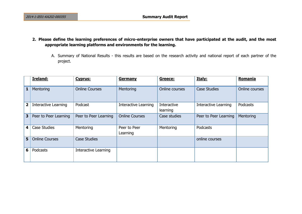- **2. Please define the learning preferences of micro-enterprise owners that have participated at the audit, and the most appropriate learning platforms and environments for the learning.**
	- A. Summary of National Results this results are based on the research activity and national report of each partner of the project.

|                         | <b>Ireland:</b>             | Cyprus:               | <b>Germany</b>              | Greece:                 | Italy:                | Romania        |
|-------------------------|-----------------------------|-----------------------|-----------------------------|-------------------------|-----------------------|----------------|
| $\mathbf{1}$            | Mentoring                   | <b>Online Courses</b> | Mentoring                   | Online courses          | <b>Case Studies</b>   | Online courses |
| $\overline{2}$          | <b>Interactive Learning</b> | Podcast               | <b>Interactive Learning</b> | Interactive<br>learning | Interactive Learning  | Podcasts       |
| 3                       | Peer to Peer Learning       | Peer to Peer Learning | <b>Online Courses</b>       | Case studies            | Peer to Peer Learning | Mentoring      |
| $\overline{\mathbf{4}}$ | Case Studies                | Mentoring             | Peer to Peer<br>Learning    | Mentoring               | Podcasts              |                |
| $5\phantom{1}$          | <b>Online Courses</b>       | <b>Case Studies</b>   |                             |                         | online courses        |                |
| 6                       | Podcasts                    | Interactive Learning  |                             |                         |                       |                |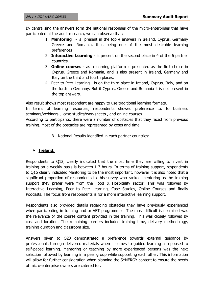By centralising the answers form the national responses of the micro-enterprises that have participated at the audit research, we can observe that:

- 1. **Mentoring**  is present in the top 4 answers in Ireland, Cyprus, Germany Greece and Romania, thus being one of the most desirable learning preferences
- 2. **Interactive Learning** is present on the second place in 4 of the 6 partner countries.
- 3. **Online courses** as a learning platform is presented as the first choice in Cyprus, Greece and Romania, and is also present in Ireland, Germany and Italy on the third and fourth places.
- 4. Peer to Peer Learning is on the third place in Ireland, Cyprus, Italy, and on the forth in Germany. But it Cyprus, Greece and Romania it is not present in the top answers.

Also result shows most respondent are happy to use traditional learning formats.

In terms of learning resources, respondents showed preference to: to business seminars/webinars , case studies/worksheets , and online courses.

According to participants, there were a number of obstacles that they faced from previous training. Most of the obstacles are represented by costs and time.

B. National Results identified in each partner countries:

## **Ireland:**

Respondents to Q12, clearly indicated that the most time they are willing to invest in training on a weekly basis is between 1-3 hours. In terms of training support, respondents to Q16 clearly indicated Mentoring to be the most important, however it is also noted that a significant proportion of respondents to this survey who ranked mentoring as the training support they prefer were from the Food & Hospitality sector. This was followed by Interactive Learning, Peer to Peer Learning, Case Studies, Online Courses and finally Podcasts. The focus from respondents is for a more interactive learning support.

Respondents also provided details regarding obstacles they have previously experienced when participating in training and or VET programmes. The most difficult issue raised was the relevance of the course content provided in the training. This was closely followed by cost and location. The remaining barriers included training time, delivery methodology, training duration and classroom size.

Answers given to Q23 demonstrated a preference towards external guidance by professionals through delivered materials when it comes to guided learning as opposed to self-paced learning. Mentoring or teaching by more experienced persons was the next selection followed by learning in a peer group while supporting each other. This information will allow for further consideration when planning the SYNERGY content to ensure the needs of micro-enterprise owners are catered for.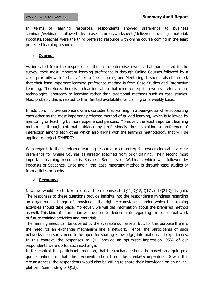In terms of learning resources, respondents showed preference to business seminars/webinars followed by case studies/worksheets/delivered training material. Podcasts/speeches were the third preferred resource with online course coming in the least preferred learning resource.

## **Cyprus:**

As indicated from the responses of the micro-enterprise owners that participated in the survey, their most important learning preference is through Online Courses followed by a close proximity with Podcast, Peer to Peer Learning and Mentoring. It should also be noted, that their least important learning preference method is from Case Studies and Interactive Learning. Therefore, there is a clear indication that micro-enterprise owners prefer a more technological approach to learning rather than traditional methods such as case studies. Most probably this is related to their limited availability for training on a weekly basis.

In addition, micro-enterprise owners consider that learning in a peer-group while supporting each other as the most important preferred method of guided learning, which is followed by mentoring or teaching by more experienced persons. Moreover, the least important learning method is through external guidance by professionals thus exhibiting a preference of interaction among each other which also aligns with the learning methodology that will be applied to project SYNERGY.

With regards to their preferred learning resource, micro-enterprise owners indicated a clear preference for Online Courses as already specified from prior training. Their second most important learning resource is Business Seminars or Webinars which was followed by Podcasts or Speeches. Once again, the least important method is through case studies or from articles or books.

#### **Germany:**

Now, we would like to take a look at the responses to Q11, Q12, Q17 and Q21-Q24 again. The responses to these questions provide insights into the respondent's mindsets regarding an organized exchange of knowledge, the right circumstances under which the training activities should take place. Moreover, we will get information about the preferred method as well. This kind of information will be used to deduce hints regarding the conceptual work of future training activities and materials.

The learning needs can be covered by the available skill assets. But, for this purpose there is the need for an exchange mechanism like a network. Hence, the participants of such networks necessarily need to be open for sharing knowledge, information and experiences. In this context, the responses to Q11 provide an optimistic impression. 95% of our respondents were up for such exchange.

In this context the participants mention, that the exchange should be based on a quid-proquo situation or that the recipients should not be market-competitors. Given this circumstances, the respondents would also be willing to share their knowledge on an onlineplatform (see finding of Q12).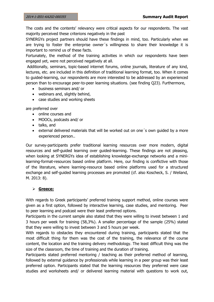The costs and the contents' relevancy were critical aspects for our respondents. The vast majority perceived these criterions negatively in the past

SYNERGYs project partners should have these findings in mind, too. Particularly when we are trying to foster the enterprise owner´s willingness to share their knowledge it is important to remind us of these facts.

Fortunately, the method of the training activities in which our respondents have been engaged yet, were not perceived negatively at all.

Additionally, seminars, topic-based internet forums, online journals, literature of any kind, lectures, etc. are included in this definition of traditional learning format, too. When it comes to guided-learning, our respondents are more interested to be addressed by an experienced person than to encourage peer-to-peer learning situations. (see finding Q23). Furthermore,

- business seminars and/ or
- webinars and, slightly behind,
- case studies and working sheets

are preferred over

- online courses and
- MOOCs, podcasts and/ or
- talks, and
- external delivered materials that will be worked out on one´s own guided by a more experienced person..

Our survey-participants prefer traditional learning resources over more modern, digital resources and self-guided learning over guided-learning. These findings are not pleasing, when looking at SYNERGYs idea of establishing knowledge-exchange networks and a minilearning-format-resources based online platform. Here, our finding is conflictive with those of the literature, where learning-resource based online platforms used for a structured exchange and self-guided learning processes are promoted (cf. also Koscheck, S. / Weiland, M. 2013: 8).

## **Greece:**

With regards to Greek participants' preferred training support method, online courses were given as a first option, followed by interactive learning, case studies, and mentoring. Peer to peer learning and podcast were their least preferred options.

Participants in the current sample also stated that they were willing to invest between 1 and 3 hours per week for training (58,3%). A smaller percentage of the sample (25%) stated that they were willing to invest between 3 and 5 hours per week.

With regards to obstacles they encountered during training, participants stated that the most difficult thing for them was the cost of the training, the relevance of the course content, the location and the training delivery methodology. The least difficult thing was the size of the classroom, the time of training and the duration of training.

Participants stated preferred mentoring / teaching as their preferred method of learning, followed by external guidance by professionals while learning in a peer group was their least preferred option. Participants stated that the learning resources they preferred were case studies and worksheets and/ or delivered learning material with questions to work out,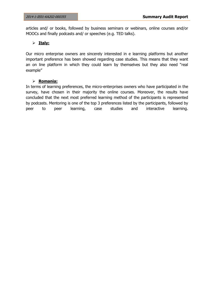articles and/ or books, followed by business seminars or webinars, online courses and/or MOOCs and finally podcasts and/ or speeches (e.g. TED talks).

#### **Italy:**

Our micro enterprise owners are sincerely interested in e learning platforms but another important preference has been showed regarding case studies. This means that they want an on line platform in which they could learn by themselves but they also need "real example"

#### **Romania:**

In terms of learning preferences, the micro-enterprises owners who have participated in the survey, have chosen in their majority the online courses. Moreover, the results have concluded that the next most preferred learning method of the participants is represented by podcasts. Mentoring is one of the top 3 preferences listed by the participants, followed by peer to peer learning, case studies and interactive learning.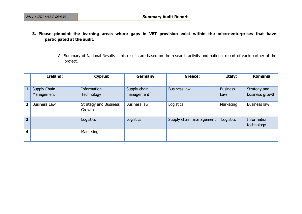- **3. Please pinpoint the learning areas where gaps in VET provision exist within the micro-enterprises that have participated at the audit.**
	- A. Summary of National Results this results are based on the research activity and national report of each partner of the project.

|                         | <b>Ireland:</b>            | <b>Cyprus:</b>                         | <b>Germany</b>              | Greece:                 | Italy:                 | Romania                         |
|-------------------------|----------------------------|----------------------------------------|-----------------------------|-------------------------|------------------------|---------------------------------|
| $\mathbf{1}$            | Supply Chain<br>Management | Information<br><b>Technology</b>       | Supply chain<br>management' | <b>Business law</b>     | <b>Business</b><br>Law | Strategy and<br>business growth |
| $\overline{2}$          | <b>Business Law</b>        | <b>Strategy and Business</b><br>Growth | <b>Business law</b>         | Logistics               | Marketing              | Business law                    |
| $\overline{\mathbf{3}}$ |                            | Logistics                              | Logistics                   | Supply chain management | Logistics              | Information<br>technology.      |
| 4                       |                            | Marketing                              |                             |                         |                        |                                 |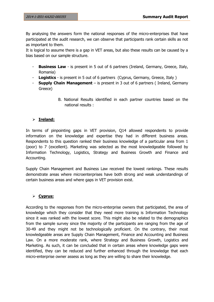By analysing the answers form the national responses of the micro-enterprises that have participated at the audit research, we can observe that participants rank certain skills as not as important to them.

It is logical to assume there is a gap in VET areas, but also these results can be caused by a bias based on our sample structure.

- **Business Law** is present in 5 out of 6 partners (Ireland, Germany, Greece, Italy, Romania)
- **Logistics**  is present in 5 out of 6 partners (Cyprus, Germany, Greece, Italy )
- **Supply Chain Management** is present in 3 out of 6 partners ( Ireland, Germany Greece)
	- B. National Results identified in each partner countries based on the national results :

## **Ireland:**

In terms of pinpointing gaps in VET provision, Q14 allowed respondents to provide information on the knowledge and expertise they had in different business areas. Respondents to this question ranked their business knowledge of a particular area from 1 (poor) to 7 (excellent). Marketing was selected as the most knowledgeable followed by Information Technology, Logistics, Strategy and Business Growth and Finance and Accounting.

Supply Chain Management and Business Law received the lowest rankings. These results demonstrate areas where microenterprises have both strong and weak understandings of certain business areas and where gaps in VET provision exist.

## **Cyprus:**

According to the responses from the micro-enterprise owners that participated, the area of knowledge which they consider that they need more training is Information Technology since it was ranked with the lowest score. This might also be related to the demographics from the sample survey since the majority of the participants are ranging from the age of 30-49 and they might not be technologically proficient. On the contrary, their most knowledgeable areas are Supply Chain Management, Finance and Accounting and Business Law. On a more moderate rank, where Strategy and Business Growth, Logistics and Marketing. As such, it can be concluded that in certain areas where knowledge gaps were identified, they can be reduced and further enhanced through the knowledge that each micro-enterprise owner assess as long as they are willing to share their knowledge.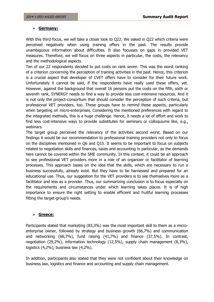#### **Germany:**

With this third focus, we will take a closer look to Q22. We asked in Q22 which criteria were perceived negatively when using training offers in the past. The results provide unambiguous information about difficulties. It also focusses on gaps in provided VET measures. Therefore, we will focus on three aspects in particular, the costs, the relevancy and the methodological aspects.

Ten of our 22 respondents decided to put costs on rank seven. This was the worst ranking of a criterion concerning the perception of training activities in the past. Hence, this criterion is a crucial aspect that developer of CVET offers have to consider for their future work. Unfortunately it cannot be said, if the respondents have really used these offers, yet. However, against the background that overall 16 persons put the costs on the fifth, sixth or seventh rank, SYNERGY needs to find a way to provide less cost-intensive resources. And it is not only the project-consortium that should consider the perception of such criteria, but professional VET providers, too. These groups have to remind these aspects, particularly when targeting on micro-enterprises. Considering the mentioned preferences with regard to the integrated methods, this is a huge challenge. Hence, it needs a lot of effort and work to find less cost-intensive ways to provide substitutes for seminars or colloquiums like, e.g., webinars.

The target group perceived the relevancy of the activities second worst. Based on our findings it would be our recommendation to professional training providers not only to focus on the disciplines mentioned in Q6 and Q15. It seems to be important to focus on subjects related to negotiation skills and finances, taxes and accounting in particular, as the demands here cannot be covered within the SME community. In this context, it could be an approach to see professional VET providers more in a role of an organizer or facilitator of learning processes. This approach bases on the idea that the skills, which are necessary to run a business successfully, already exist. But they have to be harnessed and prepared for an educational use. Thus, our suggestion for the VET providers is to see themselves more as a facilitator and less as a provider. Thus, our summarizing conclusion is to focus especially on the requirements and circumstances under which learning takes places. It is of high importance to ensure the right setting to enable efficient and fruitful learning processes fitting the target-group's needs.

#### **Greece:**

Participants stated that marketing (83,3%) was the most important skill to them as a microenterprise owner, followed by strategy and business growth (66,7%) and communication and networking (66,7%), fund raising (41,7%) and finance (37,5%). In contrast, negotiation (29,2%), information technology (12,5%), supply chain management (8,3%), logistics (4,2%), business law (4,2%).

In addition, participants also stated that they were not confident about their knowledge on business law, logistics and finance and accounting and supply chain management.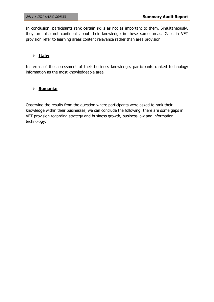In conclusion, participants rank certain skills as not as important to them. Simultaneously, they are also not confident about their knowledge in these same areas. Gaps in VET provision refer to learning areas content relevance rather than area provision.

### **Italy:**

In terms of the assessment of their business knowledge, participants ranked technology information as the most knowledgeable area

#### **Romania:**

Observing the results from the question where participants were asked to rank their knowledge within their businesses, we can conclude the following: there are some gaps in VET provision regarding strategy and business growth, business law and information technology.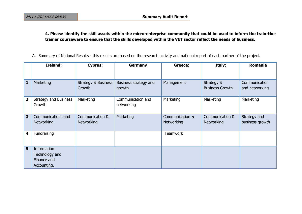## **4. Please identify the skill assets within the micro-enterprise community that could be used to inform the train-thetrainer courseware to ensure that the skills developed within the VET sector reflect the needs of business.**

A. Summary of National Results - this results are based on the research activity and national report of each partner of the project.

|                         | Ireland:                                                    | Cyprus:                                  | <b>Germany</b>                  | Greece:                       | Italy:                               | Romania                         |
|-------------------------|-------------------------------------------------------------|------------------------------------------|---------------------------------|-------------------------------|--------------------------------------|---------------------------------|
|                         |                                                             |                                          |                                 |                               |                                      |                                 |
| $\mathbf{1}$            | Marketing                                                   | <b>Strategy &amp; Business</b><br>Growth | Business strategy and<br>growth | Management                    | Strategy &<br><b>Business Growth</b> | Communication<br>and networking |
| $\overline{\mathbf{2}}$ | <b>Strategy and Business</b><br>Growth                      | Marketing                                | Communication and<br>networking | Marketing                     | Marketing                            | Marketing                       |
| $\overline{\mathbf{3}}$ | Communications and<br>Networking                            | Communication &<br>Networking            | Marketing                       | Communication &<br>Networking | Communication &<br>Networking        | Strategy and<br>business growth |
| $\overline{\mathbf{4}}$ | Fundraising                                                 |                                          |                                 | <b>Teamwork</b>               |                                      |                                 |
| $5\phantom{1}$          | Information<br>Technology and<br>Finance and<br>Accounting. |                                          |                                 |                               |                                      |                                 |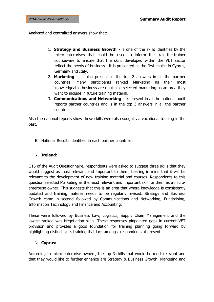Analysed and centralized answers show that:

- 1. **Strategy and Business Growth**  is one of the skills identifies by the micro-enterprises that could be used to inform the train-the-trainer courseware to ensure that the skills developed within the VET sector reflect the needs of business. It is presented as the first choice in Cyprus, Germany and Italy.
- 2. **Marketing** is also present in the top 2 answers in all the partner countries. Many participants ranked Marketing as their most knowledgeable business area but also selected marketing as an area they want to include in future training material.
- 3. **Communications and Networking** is present in all the national audit reports partner countries and is in the top 3 answers in all the partner countries

Also the national reports show these skills were also sought via vocational training in the past.

B. National Results identified in each partner countries:

## **Ireland:**

Q15 of the Audit Questionnaire, respondents were asked to suggest three skills that they would suggest as most relevant and important to them, bearing in mind that it will be relevant to the development of new training material and courses. Respondents to this question selected Marketing as the most relevant and important skill for them as a microenterprise owner. This suggests that this is an area that where knowledge is consistently updated and training material needs to be regularly revised. Strategy and Business Growth came in second followed by Communications and Networking, Fundraising, Information Technology and Finance and Accounting.

These were followed by Business Law, Logistics, Supply Chain Management and the lowest ranked was Negotiation skills. These responses pinpointed gaps in current VET provision and provides a good foundation for training planning going forward by highlighting distinct skills training that lack amongst respondents at present.

## **Cyprus:**

According to micro-enterprise owners, the top 3 skills that would be most relevant and that they would like to further enhance are Strategy & Business Growth, Marketing and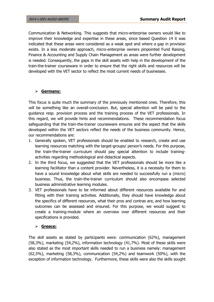Communication & Networking. This suggests that micro-enterprise owners would like to improve their knowledge and expertise in these areas, since based Question 14 it was indicated that these areas were considered as a weak spot and where a gap in provision exists. In a less moderate approach, micro-enterprise owners pinpointed Fund Raising, Finance & Accounting and Supply Chain Management as areas were further development is needed. Consequently, the gaps in the skill assets with help in the development of the train-the-trainer courseware in order to ensure that the right skills and resources will be developed with the VET sector to reflect the most current needs of businesses.

## **Germany:**

This focus is quite much the summary of the previously mentioned ones. Therefore, this will be something like an overall-conclusion. But, special attention will be paid to the guidance resp. provision process and the training process of the VET professionals. In this regard, we will provide hints and recommendations. These recommendation focus safeguarding that the train-the-trainer courseware ensures and the aspect that the skills developed within the VET sectors reflect the needs of the business community. Hence, our recommendations are:

- 1. Generally spoken, VET professionals should be enabled to research, create and use learning resources matching with the target-groups/ person's needs. For this purpose, the train-the-trainer curriculum should pay special attention to include trainingactivities regarding methodological and didactical aspects.
- 2. In the third focus, we suggested that the VET professionals should be more like a learning facilitator than a content provider. Nevertheless, it is a necessity for them to have a sound knowledge about what skills are needed to successfully run a (micro) business. Thus, the train-the-trainer curriculum should also encompass selected business administrative learning modules.
- 3. VET professionals have to be informed about different resources available for and fitting with their training activities. Additionally, they should have knowledge about the specifics of different resources, what their pros and contras are, and how learning outcomes can be assessed and ensured. For this purpose, we would suggest to create a training-module where an overview over different resources and their specifications is provided.

## **Greece:**

The skill assets as stated by participants were: communication (62%), management (58,3%), marketing (54,2%), information technology (41,7%). Most of these skills were also stated as the most important skills needed to run a business namely: management (62,5%), marketing (58,3%), communication (54,2%) and teamwork (50%), with the exception of information technology. Furthermore, these skills were also the skills sought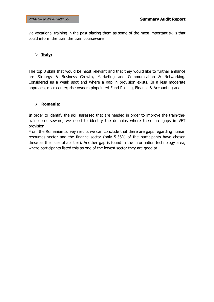via vocational training in the past placing them as some of the most important skills that could inform the train the train courseware.

#### **Italy:**

The top 3 skills that would be most relevant and that they would like to further enhance are Strategy & Business Growth, Marketing and Communication & Networking. Considered as a weak spot and where a gap in provision exists. In a less moderate approach, micro-enterprise owners pinpointed Fund Raising, Finance & Accounting and

### **Romania:**

In order to identify the skill assessed that are needed in order to improve the train-thetrainer courseware, we need to identify the domains where there are gaps in VET provision.

From the Romanian survey results we can conclude that there are gaps regarding human resources sector and the finance sector (only 5.56% of the participants have chosen these as their useful abilities). Another gap is found in the information technology area, where participants listed this as one of the lowest sector they are good at.